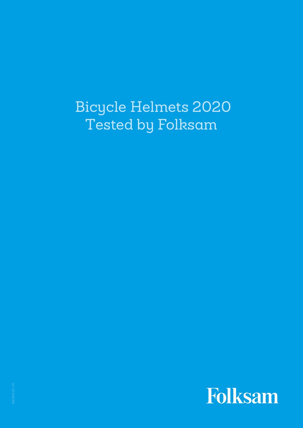# Bicycle Helmets 2020 Tested by Folksam

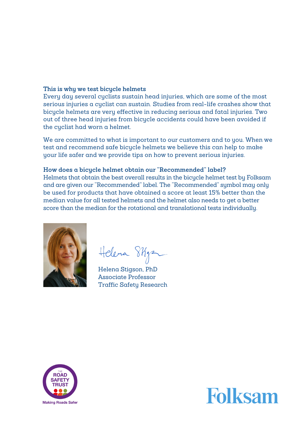# **This is why we test bicycle helmets**

Every day several cyclists sustain head injuries, which are some of the most serious injuries a cyclist can sustain. Studies from real-life crashes show that bicycle helmets are very effective in reducing serious and fatal injuries. Two out of three head injuries from bicycle accidents could have been avoided if the cyclist had worn a helmet.

We are committed to what is important to our customers and to you. When we test and recommend safe bicycle helmets we believe this can help to make your life safer and we provide tips on how to prevent serious injuries.

# **How does a bicycle helmet obtain our "Recommended" label?**

Helmets that obtain the best overall results in the bicycle helmet test by Folksam and are given our "Recommended" label. The "Recommended" symbol may only be used for products that have obtained a score at least 15% better than the median value for all tested helmets and the helmet also needs to get a better score than the median for the rotational and translational tests individually.



Helena Skyz

Helena Stigson, PhD Associate Professor Traffic Safety Research



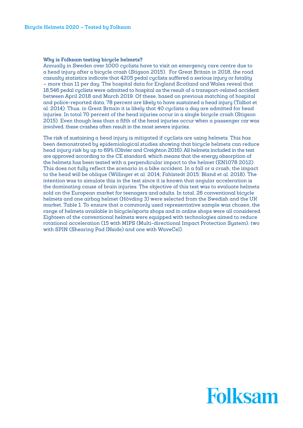# **Why is Folksam testing bicycle helmets?**

Annually in Sweden over 1000 cuclists have to visit an emergency care centre due to a head injury after a bicycle crash (Stigson 2015). For Great Britain in 2018, the road casualty statistics indicate that 4205 pedal cyclists suffered a serious injury or fatality – more than 11 per day. The hospital data for England Scotland and Wales reveal that 18,546 pedal cyclists were admitted to hospital as the result of a transport-related accident between April 2018 and March 2019. Of these, based on previous matching of hospital and police-reported data, 78 percent are likely to have sustained a head injury (Talbot et al. 2014). Thus, in Great Britain it is likely that 40 cyclists a day are admitted for head injuries. In total 70 percent of the head injuries occur in a single bicycle crash (Stigson 2015). Even though less than a fifth of the head injuries occur when a passenger car was involved, these crashes often result in the most severe injuries.

The risk of sustaining a head injury is mitigated if cyclists are using helmets. This has been demonstrated by epidemiological studies showing that bicycle helmets can reduce head injury risk by up to 69% (Olivier and Creighton 2016). All helmets included in the test are approved according to the CE standard, which means that the energy absorption of the helmets has been tested with a perpendicular impact to the helmet (EN1078 2012). This does not fully reflect the scenario in a bike accident. In a fall or a crash, the impact to the head will be oblique (Willinger et al. 2014; Fahlstedt 2015; Bland et al. 2018). The intention was to simulate this in the test since it is known that angular acceleration is the dominating cause of brain injuries. The objective of this test was to evaluate helmets sold on the European market for teenagers and adults. In total, 26 conventional bicycle helmets and one airbag helmet (Hövding 3) were selected from the Swedish and the UK market, Table 1. To ensure that a commonly used representative sample was chosen, the range of helmets available in bicycle/sports shops and in online shops were all considered. Eighteen of the conventional helmets were equipped with technologies aimed to reduce rotational acceleration (15 with MIPS (Multi-directional Impact Protection System), two with SPIN (Shearing Pad INside) and one with WaveCel).

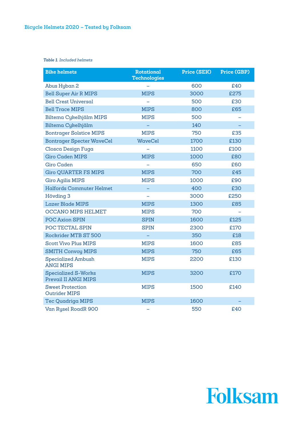*Table 1. Included helmets*

| <b>Bike helmets</b>                                | <b>Rotational</b><br><b>Technologies</b> | <b>Price (SEK)</b> | <b>Price (GBP)</b> |  |  |  |
|----------------------------------------------------|------------------------------------------|--------------------|--------------------|--|--|--|
| Abus Hyban 2                                       |                                          | 600                | £40                |  |  |  |
| <b>Bell Super Air R MIPS</b>                       | <b>MIPS</b>                              | 3000               | £275               |  |  |  |
| <b>Bell Crest Universal</b>                        |                                          | 500                | £30                |  |  |  |
| <b>Bell Trace MIPS</b>                             | <b>MIPS</b>                              | 800                | £65                |  |  |  |
| Biltema Cykelhjälm MIPS                            | <b>MIPS</b>                              | 500                |                    |  |  |  |
| Biltema Cykelhjälm                                 |                                          | 140                |                    |  |  |  |
| <b>Bontrager Solstice MIPS</b>                     | <b>MIPS</b>                              | 750                | £35                |  |  |  |
| <b>Bontrager Specter WaveCel</b>                   | <b>WaveCel</b>                           | 1700               | £130               |  |  |  |
| Closca Design Fuga                                 |                                          | 1100               | £100               |  |  |  |
| <b>Giro Caden MIPS</b>                             | <b>MIPS</b>                              | 1000               | £80                |  |  |  |
| <b>Giro Caden</b>                                  |                                          | 650                | £60                |  |  |  |
| <b>Giro QUARTER FS MIPS</b>                        | <b>MIPS</b>                              | 700                | £45                |  |  |  |
| <b>Giro Agilis MIPS</b>                            | <b>MIPS</b>                              | 1000               | £90                |  |  |  |
| <b>Halfords Commuter Helmet</b>                    |                                          | 400                | £30                |  |  |  |
| Hövding 3                                          |                                          | 3000               | £250               |  |  |  |
| <b>Lazer Blade MIPS</b>                            | <b>MIPS</b>                              | 1300               | £85                |  |  |  |
| <b>OCCANO MIPS HELMET</b>                          | <b>MIPS</b>                              | 700                |                    |  |  |  |
| POC Axion SPIN                                     | <b>SPIN</b>                              | 1600               | £125               |  |  |  |
| POC TECTAL SPIN                                    | <b>SPIN</b>                              | 2300               | £170               |  |  |  |
| Rockrider MTB ST 500                               |                                          | 350                | £18                |  |  |  |
| <b>Scott Vivo Plus MIPS</b>                        | <b>MIPS</b>                              | 1600               | £85                |  |  |  |
| <b>SMITH Convoy MIPS</b>                           | <b>MIPS</b>                              | 750                | £65                |  |  |  |
| <b>Specialized Ambush</b><br><b>ANGI MIPS</b>      | <b>MIPS</b>                              | 2200               | £130               |  |  |  |
| <b>Specialized S-Works</b><br>Prevail II ANGI MIPS | <b>MIPS</b>                              | 3200               | £170               |  |  |  |
| <b>Sweet Protection</b><br><b>Outrider MIPS</b>    | <b>MIPS</b>                              | 1500               | £140               |  |  |  |
| <b>Tec Quadriga MIPS</b>                           | <b>MIPS</b>                              | 1600               |                    |  |  |  |
| Van Rysel RoadR 900                                |                                          | 550                | £40                |  |  |  |

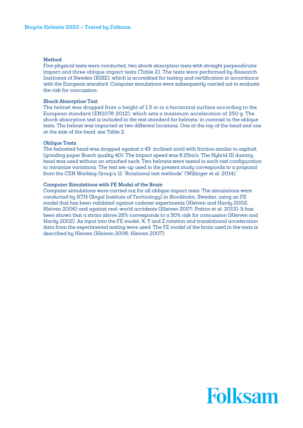# **Method**

Five physical tests were conducted, two shock absorption tests with straight perpendicular impact and three oblique impact tests (Table 2). The tests were performed by Research Institutes of Sweden (RISE), which is accredited for testing and certification in accordance with the European standard. Computer simulations were subsequently carried out to evaluate the risk for concussion.

# **Shock Absorption Test**

The helmet was dropped from a height of 1.5 m to a horizontal surface according to the European standard (EN1078 2012), which sets a maximum acceleration of 250 g. The shock absorption test is included in the test standard for helmets, in contrast to the oblique tests. The helmet was impacted at two different locations. One at the top of the head and one at the side of the head, see Table 2.

# **Oblique Tests**

The helmeted head was dropped against a 45° inclined anvil with friction similar to asphalt (grinding paper Bosch quality 40). The impact speed was 6.25m/s. The Hybrid III dummy head was used without an attached neck. Two helmets were tested in each test configuration to minimize variations. The test set-up used in the present study corresponds to a proposal from the CEN Working Group's 11 "Rotational test methods" (Willinger et al. 2014).

# **Computer Simulations with FE Model of the Brain**

Computer simulations were carried out for all oblique impact tests. The simulations were conducted by KTH (Royal Institute of Technology) in Stockholm, Sweden, using an FE model that has been validated against cadaver experiments (Kleiven and Hardy 2002; Kleiven 2006) and against real-world accidents (Kleiven 2007; Patton et al. 2013). It has been shown that a strain above 26% corresponds to a 50% risk for concussion (Kleiven and Hardy 2002). As input into the FE model, X, Y and Z rotation and translational acceleration data from the experimental testing were used. The FE model of the brain used in the tests is described by Kleiven (Kleiven 2006; Kleiven 2007).

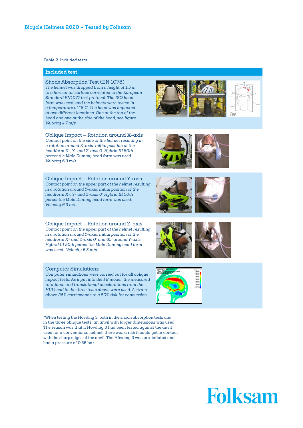*Table 2. Included tests*

# **Included test**

Shock Absorption Test (EN 1078) *The helmet was dropped from a height of 1.5 m to a horizontal surface correlated to the European Standard EN1077 test protocol. The ISO head form was used, and the helmets were tested in a temperature of 18°C. The head was impacted at two different locations. One at the top of the head and one at the side of the head, see figure. Velocity 4.7 m/s.*

Oblique Impact – Rotation around X-axis *Contact point on the side of the helmet resulting in a rotation around X-axis. Initial position of the headform X-, Y- and Z-axis 0° Hybrid III 50th percentile Male Dummy head form was used. Velocity 6.3 m/s*

Oblique Impact – Rotation around Y-axis *Contact point on the upper part of the helmet resulting in a rotation around Y-axis. Initial position of the headform X-, Y- and Z-axis 0° Hybrid III 50th percentile Male Dummy head form was used. Velocity 6.3 m/s*

Oblique Impact – Rotation around Z-axis *Contact point on the upper part of the helmet resulting in a rotation around Y-axis. Initial position of the headform X- and Z-axis 0° and 65° around Y-axis. Hybrid III 50th percentile Male Dummy head form was used. Velocity 6.3 m/s*

#### Computer Simulations

*Computer simulations were carried out for all oblique impact tests. As input into the FE model, the measured rotational and translational accelerations from the HIII head in the three tests above were used. A strain above 26% corresponds to a 50% risk for concussion.* 

\*When testing the Hövding 3, both in the shock absorption tests and in the three oblique tests, an anvil with larger dimensions was used. The reason was that if Hövding 3 had been tested against the anvil used for a conventional helmet, there was a risk it could get in contact with the sharp edges of the anvil. The Hövding 3 was pre-inflated and had a pressure of 0.56 bar.











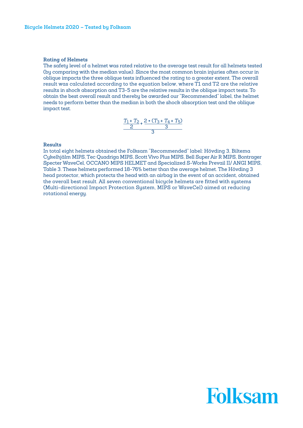# **Rating of Helmets**

The safety level of a helmet was rated relative to the average test result for all helmets tested (by comparing with the median value). Since the most common brain injuries often occur in oblique impacts the three oblique tests influenced the rating to a greater extent. The overall result was calculated according to the equation below, where T1 and T2 are the relative results in shock absorption and T3-5 are the relative results in the oblique impact tests. To obtain the best overall result and thereby be awarded our "Recommended" label, the helmet needs to perform better than the median in both the shock absorption test and the oblique impact test.

$$
\frac{T_1 + T_2}{2} + \frac{2 * (T_3 + T_4 + T_5)}{3}
$$

# **Results**

In total eight helmets obtained the Folksam "Recommended" label: Hövding 3, Biltema Cykelhjälm MIPS, Tec Quadriga MIPS, Scott Vivo Plus MIPS, Bell Super Air R MIPS, Bontrager Specter WaveCel, OCCANO MIPS HELMET and Specialized S-Works Prevail II/ ANGI MIPS, Table 3. These helmets performed 18-76% better than the average helmet. The Hövding 3 head protector, which protects the head with an airbag in the event of an accident, obtained the overall best result. All seven conventional bicycle helmets are fitted with systems (Multi-directional Impact Protection System, MIPS or WaveCel) aimed at reducing rotational energy.

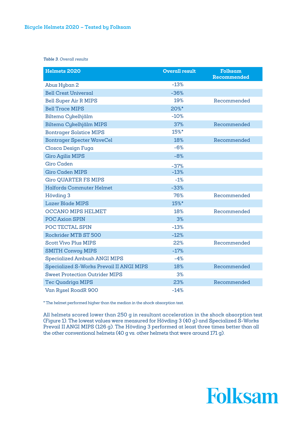*Table 3. Overall results*

| Helmets 2020                             | <b>Overall result</b> | Folksam<br>Recommended |
|------------------------------------------|-----------------------|------------------------|
| Abus Hyban 2                             | $-13%$                |                        |
| <b>Bell Crest Universal</b>              | $-36%$                |                        |
| <b>Bell Super Air R MIPS</b>             | 19%                   | Recommended            |
| <b>Bell Trace MIPS</b>                   | 20%*                  |                        |
| Biltema Cykelhjälm                       | $-10%$                |                        |
| Biltema Cykelhjälm MIPS                  | 37%                   | Recommended            |
| <b>Bontrager Solstice MIPS</b>           | 15%*                  |                        |
| <b>Bontrager Specter WaveCel</b>         | 18%                   | Recommended            |
| Closca Design Fuga                       | $-6%$                 |                        |
| <b>Giro Agilis MIPS</b>                  | $-8%$                 |                        |
| <b>Giro Caden</b>                        | $-37%$                |                        |
| <b>Giro Caden MIPS</b>                   | $-13%$                |                        |
| <b>Giro QUARTER FS MIPS</b>              | $-1%$                 |                        |
| <b>Halfords Commuter Helmet</b>          | $-33%$                |                        |
| Hövding 3                                | 76%                   | Recommended            |
| <b>Lazer Blade MIPS</b>                  | 15%*                  |                        |
| <b>OCCANO MIPS HELMET</b>                | 18%                   | Recommended            |
| POC Axion SPIN                           | 3%                    |                        |
| POC TECTAL SPIN                          | $-13%$                |                        |
| Rockrider MTB ST 500                     | $-12%$                |                        |
| <b>Scott Vivo Plus MIPS</b>              | 22%                   | Recommended            |
| <b>SMITH Convoy MIPS</b>                 | $-17%$                |                        |
| Specialized Ambush ANGI MIPS             | $-4%$                 |                        |
| Specialized S-Works Prevail II ANGI MIPS | 18%                   | Recommended            |
| <b>Sweet Protection Outrider MIPS</b>    | 3%                    |                        |
| <b>Tec Quadriga MIPS</b>                 | 23%                   | Recommended            |
| Van Rysel RoadR 900                      | $-14%$                |                        |

\* The helmet performed higher than the median in the shock absorption test.

All helmets scored lower than 250 g in resultant acceleration in the shock absorption test (Figure 1). The lowest values were measured for Hövding 3 (40 g) and Specialized S-Works Prevail II ANGI MIPS (126 g). The Hövding 3 performed at least three times better than all the other conventional helmets (40 g vs. other helmets that were around 171 g).

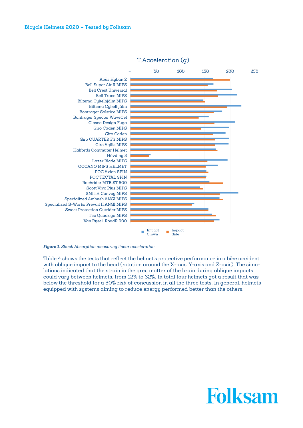

# T.Acceleration (g)

*Figure 1. Shock Absorption measuring linear acceleration* 

Table 4 shows the tests that reflect the helmet's protective performance in a bike accident with oblique impact to the head (rotation around the X-axis, Y-axis and Z-axis). The simulations indicated that the strain in the grey matter of the brain during oblique impacts could vary between helmets, from 12% to 32%. In total four helmets got a result that was below the threshold for a 50% risk of concussion in all the three tests. In general, helmets equipped with systems aiming to reduce energy performed better than the others.

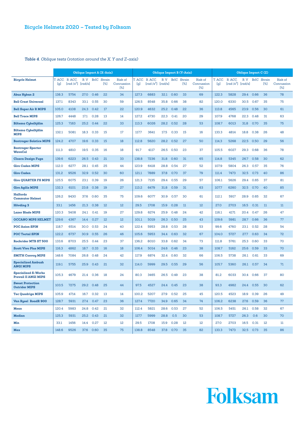# *Table 4. Oblique tests (rotation around the X, Y and Z-axis)*

|                                                           | <b>Oblique Impact A (X-Axis)</b> |                                 |                |      |                           | <b>Oblique Impact B (Y-Axis)</b> |       |                                 |                 |      |                           | <b>Oblique Impact C (Z)</b>  |                |                                 |                 |      |               |                              |
|-----------------------------------------------------------|----------------------------------|---------------------------------|----------------|------|---------------------------|----------------------------------|-------|---------------------------------|-----------------|------|---------------------------|------------------------------|----------------|---------------------------------|-----------------|------|---------------|------------------------------|
| <b>Bicycle Helmet</b>                                     | [g]                              | T. ACC. R. ACC.<br>[rad $/s2$ ] | R.V<br>[rad/s] |      | <b>BrIC</b> Strain<br>[%] | Risk of<br>Concussion<br>[%]     | [g]   | T. ACC. R. ACC.<br>[ $rad/s2$ ] | R. V<br>[rad/s] |      | <b>BrIC</b> Strain<br>[%] | Risk of<br>Concussion<br>[%] | T. ACC.<br>[g] | R. ACC.<br>[ $\text{rad/s}^2$ ] | R. V<br>[rad/s] | BrIC | Strain<br>[%] | Risk of<br>Concussion<br>[%] |
| <b>Abus Hyban 2</b>                                       | 138,3                            | 5754                            | 27,0           | 0,46 | 22                        | 34                               | 127,3 | 6883                            | 32,1            | 0,60 | 33                        | 69                           | 122,3          | 5828                            | 29,4            | 0,66 | 36            | 78                           |
| <b>Bell Crest Universal</b>                               | 137,1                            | 8343                            | 33,1           | 0,55 | 30                        | 59                               | 126,5 | 8548                            | 35,8            | 0,66 | 38                        | 82                           | 120,0          | 6330                            | 30,5            | 0,67 | 35            | 75                           |
| <b>Bell Super Air R MIPS</b>                              | 105,0                            | 4108                            | 24.3           | 0,42 | 17                        | 22                               | 120,9 | 4632                            | 25.2            | 0.48 | 22                        | 36                           | 113,8          | 4565                            | 23,9            | 0,56 | 30            | 61                           |
| <b>Bell Trace MIPS</b>                                    | 126,7                            | 4448                            | 17,1           | 0,28 | 13                        | 14                               | 127,2 | 4730                            | 22.3            | 0.41 | 20                        | 29                           | 107.9          | 4768                            | 22.3            | 0,48 | 31            | 63                           |
| Biltema Cykelhjälm                                        | 125,3                            | 7163                            | 25.2           | 0,44 | 22                        | 33                               | 113,3 | 6026                            | 28,2            | 0,52 | 28                        | 53                           | 108,7          | 6013                            | 31,8            | 0,70 | 35            | 75                           |
| Biltema Cykelhjälm<br><b>MIPS</b>                         | 132,1                            | 5081                            | 18,3           | 0,33 | 15                        | 17                               | 117.7 | 3641                            | 17.5            | 0.33 | 15                        | 16                           | 133,3          | 4814                            | 18,8            | 0,38 | 26            | 48                           |
| <b>Bontrager Solstice MIPS</b>                            | 124,2                            | 4707                            | 19,6           | 0,33 | 15                        | 18                               | 112,8 | 5620                            | 28,2            | 0.52 | 27                        | 50                           | 114,3          | 5268                            | 22.5            | 0,50 | 29            | 56                           |
| <b>Bontrager Specter</b><br><b>WaveCel</b>                | 111,3                            | 4810                            | 19,5           | 0.35 | 16                        | 18                               | 91,7  | 4117                            | 26,5            | 0,50 | 23                        | 37                           | 105,5          | 6027                            | 29.3            | 0,68 | 36            | 78                           |
| Closca Design Fuga                                        | 139,6                            | 6223                            | 26,5           | 0,43 | 21                        | 33                               | 138,8 | 7236                            | 31,8            | 0,60 | 31                        | 65                           | 114,8          | 5345                            | 26,7            | 0,58 | 30            | 62                           |
| <b>Giro Caden MIPS</b>                                    | 112,0                            | 6277                            | 28,1           | 0,45 | 25                        | 44                               | 123,9 | 6418                            | 28,8            | 0.54 | 27                        | 52                           | 107.9          | 5804                            | 26,3            | 0.57 | 35            | 76                           |
| <b>Giro Caden</b>                                         | 131,2                            | 9526                            | 32,9           | 0.52 | 30                        | 60                               | 121,1 | 7889                            | 37.8            | 0,70 | 37                        | 79                           | 111,4          | 7473                            | 32,5            | 0,73 | 40            | 86                           |
| <b>Giro QUARTER FS MIPS</b>                               | 125,5                            | 6075                            | 23,1           | 0.39 | 19                        | 26                               | 121,3 | 7135                            | 29,4            | 0,55 | 29                        | 57                           | 106,1          | 5626                            | 29.4            | 0.65 | 37            | 81                           |
| <b>Giro Agilis MIPS</b>                                   | 132,3                            | 6101                            | 23,8           | 0.38 | 19                        | 27                               | 113,2 | 6479                            | 31,8            | 0.59 | 31                        | 63                           | 107.7          | 6260                            | 32,5            | 0,70 | 40            | 85                           |
| Halfords<br><b>Commuter Helmet</b>                        | 126,2                            | 9430                            | 37,6           | 0,60 | 35                        | 75                               | 109,6 | 6077                            | 30,9            | 0,57 | 30                        | 61                           | 112.1          | 5917                            | 28,9            | 0,65 | 32            | 67                           |
| <b>Hövding 3</b>                                          | 33,1                             | 1456                            | 21.3           | 0,38 | 12                        | 12                               | 29.5  | 1708                            | 15,9            | 0,28 | 11                        | 12                           | 27,0           | 2703                            | 16,5            | 0.31 | 11            | 11                           |
| <b>Lazer Blade MIPS</b>                                   | 120,3                            | 5408                            | 24.1           | 0,41 | 19                        | 27                               | 129,8 | 6274                            | 25,9            | 0.48 | 24                        | 42                           | 116.1          | 4171                            | 20,4            | 0.47 | 26            | 47                           |
| <b>OCCANO MIPS HELMET</b>                                 | 129,6                            | 4367                            | 14,4           | 0,27 | 12                        | 12                               | 101.1 | 5019                            | 26,3            | 0,50 | 25                        | 43                           | 109,6          | 5981                            | 28,7            | 0,66 | 36            | 77                           |
| <b>POC Axion SPIN</b>                                     | 118,7                            | 6514                            | 30,0           | 0,53 | 24                        | 40                               | 122,4 | 5953                            | 28,8            | 0.53 | 28                        | 53                           | 99,6           | 4760                            | 23.1            | 0,52 | 28            | 54                           |
| <b>POC Tectal SPIN</b>                                    | 122.2                            | 6737                            | 30.9           | 0,55 | 26                        | 46                               | 105.6 | 5953                            | 34.4            | 0.63 | 32                        | 67                           | 104.0          | 5727                            | 27.7            | 0.63 | 34            | 72                           |
| <b>Rockrider MTB ST 500</b>                               | 133.6                            | 8703                            | 25.5           | 0,44 | 23                        | 37                               | 136,2 | 8010                            | 33,8            | 0,62 | 34                        | 73                           | 111.8          | 5761                            | 25.3            | 0,60 | 33            | 70                           |
| <b>Scott Vivo Plus MIPS</b>                               | 116.3                            | 4862                            | 18,7           | 0,33 | 16                        | 18                               | 106,4 | 5014                            | 24,6            | 0.46 | 23                        | 38                           | 108.7          | 5162                            | 25.6            | 0.59 | 33            | 70                           |
| <b>SMITH Convoy MIPS</b>                                  | 148,6                            | 7084                            | 26,8           | 0.48 | 24                        | 42                               | 117.9 | 6874                            | 32.4            | 0,60 | 32                        | 66                           | 106,5          | 5738                            | 26.1            | 0,61 | 33            | 69                           |
| <b>Specialized Ambush</b><br><b>ANGI MIPS</b>             | 119,1                            | 5755                            | 25,9           | 0,43 | 21                        | 32                               | 114,0 | 5999                            | 29,5            | 0,55 | 29                        | 56                           | 105,7          | 5360                            | 26.1            | 0,57 | 34            | 71                           |
| <b>Specialized S-Works</b><br><b>Prevail II ANGI MIPS</b> | 105.3                            | 4679                            | 21.4           | 0.36 | 18                        | 24                               | 80,3  | 3465                            | 26,5            | 0.49 | 23                        | 38                           | 81,2           | 6033                            | 30,4            | 0,66 | 37            | 80                           |
| <b>Sweet Protection</b><br><b>Outrider MIPS</b>           | 103.5                            | 7275                            | 29.2           | 0,48 | 25                        | 44                               | 97,5  | 4527                            | 24,4            | 0,45 | 23                        | 38                           | 93.3           | 4982                            | 24,4            | 0,55 | 30            | 62                           |
| <b>Tec Quadriga MIPS</b>                                  | 105,9                            | 4714                            | 16,7           | 0.32 | 13                        | 14                               | 100,2 | 5207                            | 27,9            | 0.52 | 25                        | 45                           | 120,5          | 4523                            | 18,9            | 0.39 | 26            | 49                           |
| Van Rysel RoadR 900                                       | 128.7                            | 5931                            | 27,4           | 0,47 | 23                        | 36                               | 127,4 | 7720                            | 34,9            | 0,65 | 34                        | 74                           | 106.2          | 6238                            | 27,6            | 0.59 | 36            | 77                           |
| Mean                                                      | 120,4                            | 5983                            | 24.8           | 0,42 | 21                        | 32                               | 112,4 | 5821                            | 28,6            | 0,53 | 27                        | 52                           | 106,5          | 5451                            | 26.1            | 0.58 | 32            | 67                           |
| <b>Median</b>                                             | 125.3                            | 5931                            | 25.2           | 0.43 | 21                        | 32                               | 117.7 | 5999                            | 28.8            | 0.5  | 30                        | 53                           | 108.7          | 5727                            | 26.3            | 0.6  | 30            | 70                           |
| Min                                                       | 33,1                             | 1456                            | 14,4           | 0,27 | 12                        | 12                               | 29,5  | 1708                            | 15,9            | 0,28 | 12                        | 12                           | 27,0           | 2703                            | 16,5            | 0.31 | 12            | 11                           |
| Max                                                       | 148.6                            | 9526                            | 37.6           | 0.60 | 35                        | 75                               | 138.8 | 8548                            | 37.8            | 0.70 | 35                        | 82                           | 133.3          | 7473                            | 32.5            | 0.73 | 35            | 86                           |

# Folksam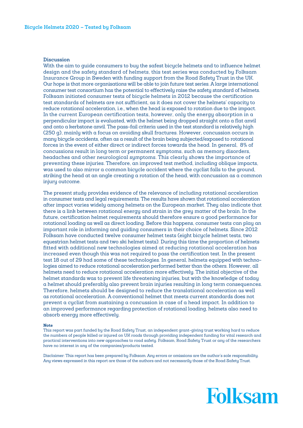# **Discussion**

With the aim to guide consumers to buy the safest bicycle helmets and to influence helmet design and the safety standard of helmets, this test series was conducted by Folksam Insurance Group in Sweden with funding support from the Road Safety Trust in the UK. Our hope is that more organisations will be able to join future test series. A large international consumer test consortium has the potential to effectively raise the safety standard of helmets. Folksam initiated consumer tests of bicycle helmets in 2012 because the certification test standards of helmets are not sufficient, as it does not cover the helmets' capacity to reduce rotational acceleration, i.e., when the head is exposed to rotation due to the impact. In the current European certification tests, however, only the energy absorption in a perpendicular impact is evaluated, with the helmet being dropped straight onto a flat anvil and onto a kerbstone anvil. The pass-fail criteria used in the test standard is relatively high (250 g), mainly with a focus on avoiding skull fractures. However, concussion occurs in many bicycle accidents, often as a result of the brain being subjected/exposed to rotational forces in the event of either direct or indirect forces towards the head. In general, 8% of concussions result in long term or permanent sumptoms, such as memory disorders, headaches and other neurological symptoms. This clearly shows the importance of preventing these injuries. Therefore, an improved test method, including oblique impacts, was used to also mirror a common bicycle accident where the cyclist falls to the ground, striking the head at an angle creating a rotation of the head, with concussion as a common injury outcome.

The present study provides evidence of the relevance of including rotational acceleration in consumer tests and legal requirements. The results have shown that rotational acceleration after impact varies widely among helmets on the European market. They also indicate that there is a link between rotational energy and strain in the grey matter of the brain. In the future, certification helmet requirements should therefore ensure a good performance for rotational loading as well as direct loading. Before this happens, consumer tests can play an important role in informing and guiding consumers in their choice of helmets. Since 2012 Folksam have conducted twelve consumer helmet tests (eight bicycle helmet tests, two equestrian helmet tests and two ski helmet tests). During this time the proportion of helmets fitted with additional new technologies aimed at reducing rotational acceleration has increased even though this was not required to pass the certification test. In the present test 18 out of 29 had some of these technologies. In general, helmets equipped with technologies aimed to reduce rotational acceleration performed better than the others. However, all helmets need to reduce rotational acceleration more effectively. The initial objective of the helmet standards was to prevent life threatening injuries, but with the knowledge of today a helmet should preferably also prevent brain injuries resulting in long term consequences. Therefore, helmets should be designed to reduce the translational acceleration as well as rotational acceleration. A conventional helmet that meets current standards does not prevent a cyclist from sustaining a concussion in case of a head impact. In addition to an improved performance regarding protection of rotational loading, helmets also need to absorb energy more effectively.

#### **Note**

This report was part funded by the Road Safety Trust, an independent grant-giving trust working hard to reduce the numbers of people killed or injured on UK roads through providing independent funding for vital research and practical interventions into new approaches to road safety. Folksam, Road Safety Trust or any of the researchers have no interest in any of the companies/products tested.

Disclaimer: This report has been prepared by Folksam. Any errors or omissions are the author's sole responsibility. Any views expressed in this report are those of the authors and not necessarily those of the Road Safety Trust.